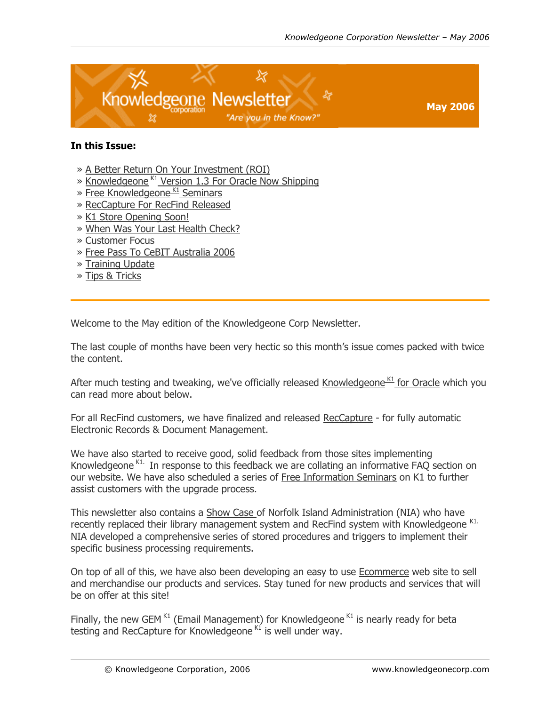<span id="page-0-1"></span><span id="page-0-0"></span>

#### **In this Issue:**

- » [A Better Return On Your Investment \(ROI\)](#page-1-0)
- » Knowledgeone K<sub>1</sub> Version 1.3 For Oracle Now Shipping
- $\gg$  Free Knowledgeone K<sub>1</sub> Seminars
- » [RecCapture For RecFind Released](#page-3-0)
- » [K1 Store Opening Soon!](#page-4-0)
- » [When Was Your Last Health Check?](#page-4-0)
- » [Customer Focus](#page-5-0)
- » [Free Pass To CeBIT Australia 2006](#page-7-0)
- » [Training Update](#page-7-0)
- » [Tips & Tricks](#page-9-0)

Welcome to the May edition of the Knowledgeone Corp Newsletter.

The last couple of months have been very hectic so this month's issue comes packed with twice the content.

After much testing and tweaking, we've officially released Knowledgeone K<sub>1</sub> for Oracle which you can read more about below.

For all RecFind customers, we have finalized and released [RecCapture](#page-3-0) - for fully automatic Electronic Records & Document Management.

We have also started to receive good, solid feedback from those sites implementing Knowledgeone <sup>K1.</sup> In response to this feedback we are collating an informative FAQ section on our website. We have also scheduled a series of [Free Information Seminars](#page-2-0) on K1 to further assist customers with the upgrade process.

This newsletter also contains a [Show Case o](#page-5-0)f Norfolk Island Administration (NIA) who have recently replaced their library management system and RecFind system with Knowledgeone K1. NIA developed a comprehensive series of stored procedures and triggers to implement their specific business processing requirements.

On top of all of this, we have also been developing an easy to use [Ecommerce](#page-4-0) web site to sell and merchandise our products and services. Stay tuned for new products and services that will be on offer at this site!

Finally, the new GEM  $K1$  (Email Management) for Knowledgeone  $K1$  is nearly ready for beta testing and RecCapture for Knowledgeone  $K1$  is well under way.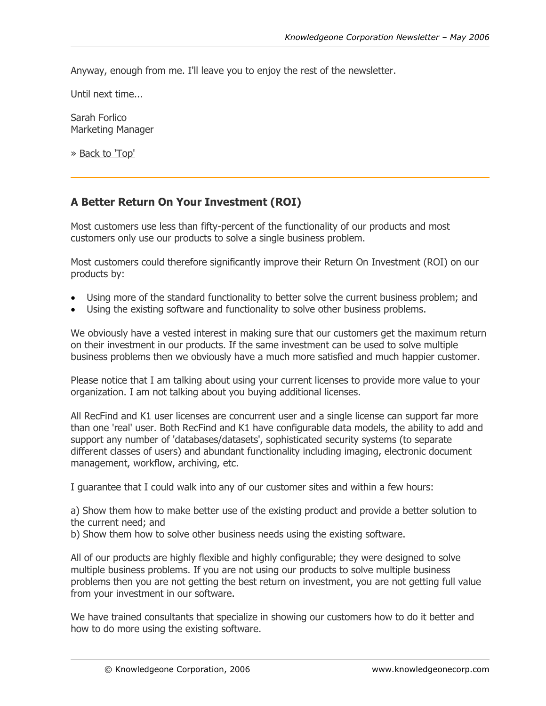<span id="page-1-0"></span>Anyway, enough from me. I'll leave you to enjoy the rest of the newsletter.

Until next time...

Sarah Forlico Marketing Manager

» [Back to 'Top'](#page-0-0)

# **A Better Return On Your Investment (ROI)**

Most customers use less than fifty-percent of the functionality of our products and most customers only use our products to solve a single business problem.

Most customers could therefore significantly improve their Return On Investment (ROI) on our products by:

- Using more of the standard functionality to better solve the current business problem; and
- Using the existing software and functionality to solve other business problems.

We obviously have a vested interest in making sure that our customers get the maximum return on their investment in our products. If the same investment can be used to solve multiple business problems then we obviously have a much more satisfied and much happier customer.

Please notice that I am talking about using your current licenses to provide more value to your organization. I am not talking about you buying additional licenses.

All RecFind and K1 user licenses are concurrent user and a single license can support far more than one 'real' user. Both RecFind and K1 have configurable data models, the ability to add and support any number of 'databases/datasets', sophisticated security systems (to separate different classes of users) and abundant functionality including imaging, electronic document management, workflow, archiving, etc.

I guarantee that I could walk into any of our customer sites and within a few hours:

a) Show them how to make better use of the existing product and provide a better solution to the current need; and

b) Show them how to solve other business needs using the existing software.

All of our products are highly flexible and highly configurable; they were designed to solve multiple business problems. If you are not using our products to solve multiple business problems then you are not getting the best return on investment, you are not getting full value from your investment in our software.

We have trained consultants that specialize in showing our customers how to do it better and how to do more using the existing software.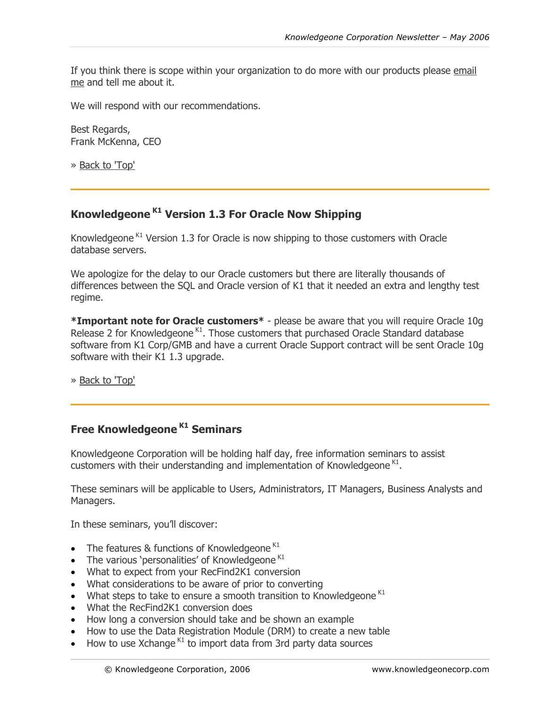<span id="page-2-0"></span>If you think there is scope within your organization to do more with our products please [email](http://www.knowledgeonecorp.com/contactus/emailus.htm?CEO)  [me](http://www.knowledgeonecorp.com/contactus/emailus.htm?CEO) and tell me about it.

We will respond with our recommendations.

Best Regards, Frank McKenna, CEO

» [Back to 'Top'](#page-0-0)

# **Knowledgeone K1 Version 1.3 For Oracle Now Shipping**

Knowledgeone  $K1$  Version 1.3 for Oracle is now shipping to those customers with Oracle database servers.

We apologize for the delay to our Oracle customers but there are literally thousands of differences between the SQL and Oracle version of K1 that it needed an extra and lengthy test regime.

**\*Important note for Oracle customers\*** - please be aware that you will require Oracle 10g Release 2 for Knowledgeone  $K1$ . Those customers that purchased Oracle Standard database software from K1 Corp/GMB and have a current Oracle Support contract will be sent Oracle 10g software with their K1 1.3 upgrade.

» [Back to 'Top'](#page-0-0)

# **Free Knowledgeone<sup>K1</sup> Seminars**

Knowledgeone Corporation will be holding half day, free information seminars to assist customers with their understanding and implementation of Knowledgeone  $K1$ .

These seminars will be applicable to Users, Administrators, IT Managers, Business Analysts and Managers.

In these seminars, you'll discover:

- The features & functions of Knowledgeone<sup>K1</sup>
- The various 'personalities' of Knowledgeone<sup>K1</sup>
- What to expect from your RecFind2K1 conversion
- What considerations to be aware of prior to converting
- What steps to take to ensure a smooth transition to Knowledgeone  $K1$
- What the RecFind2K1 conversion does
- How long a conversion should take and be shown an example
- How to use the Data Registration Module (DRM) to create a new table
- How to use Xchange  $K1$  to import data from 3rd party data sources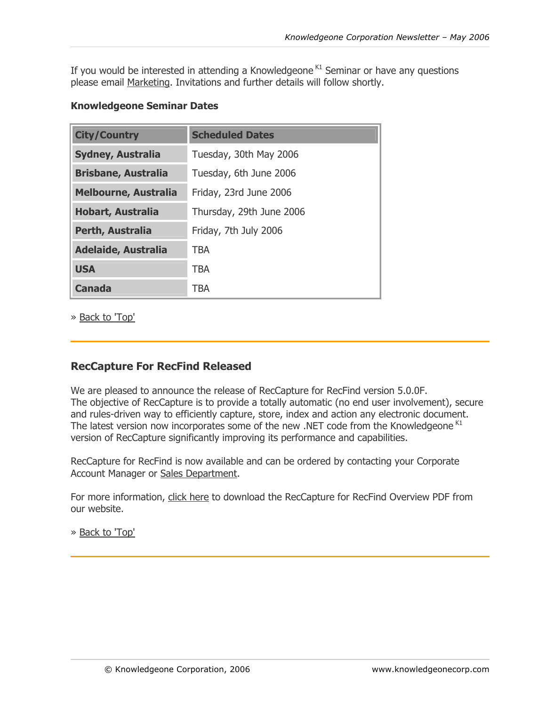<span id="page-3-0"></span>If you would be interested in attending a Knowledgeone  $K1$  Seminar or have any questions please email [Marketing.](http://www.knowledgeonecorp.com/contactus/emailus.htm?Marketing) Invitations and further details will follow shortly.

### **Knowledgeone Seminar Dates**

| <b>City/Country</b>         | <b>Scheduled Dates</b>   |  |  |  |  |
|-----------------------------|--------------------------|--|--|--|--|
| <b>Sydney, Australia</b>    | Tuesday, 30th May 2006   |  |  |  |  |
| <b>Brisbane, Australia</b>  | Tuesday, 6th June 2006   |  |  |  |  |
| <b>Melbourne, Australia</b> | Friday, 23rd June 2006   |  |  |  |  |
| <b>Hobart, Australia</b>    | Thursday, 29th June 2006 |  |  |  |  |
| Perth, Australia            | Friday, 7th July 2006    |  |  |  |  |
| <b>Adelaide, Australia</b>  | TBA                      |  |  |  |  |
| <b>USA</b>                  | <b>TBA</b>               |  |  |  |  |
| <b>Canada</b>               | TBA                      |  |  |  |  |

» [Back to 'Top'](#page-0-0)

## **RecCapture For RecFind Released**

We are pleased to announce the release of RecCapture for RecFind version 5.0.0F. The objective of RecCapture is to provide a totally automatic (no end user involvement), secure and rules-driven way to efficiently capture, store, index and action any electronic document. The latest version now incorporates some of the new .NET code from the Knowledgeone K1 version of RecCapture significantly improving its performance and capabilities.

RecCapture for RecFind is now available and can be ordered by contacting your Corporate Account Manager or [Sales Department.](http://www.knowledgeonecorp.com/contactus/emailus.htm?SalesAus)

For more information, [click here](http://www.knowledgeonecorp.com/products/pdfs/RecCapture for RecFind Overview.pdf) to download the RecCapture for RecFind Overview PDF from our website.

» [Back to 'Top'](#page-0-0)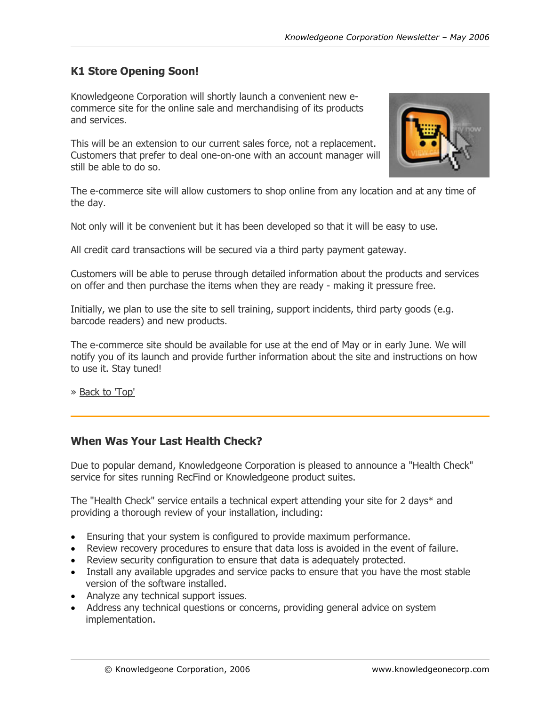## <span id="page-4-0"></span>**K1 Store Opening Soon!**

Knowledgeone Corporation will shortly launch a convenient new ecommerce site for the online sale and merchandising of its products and services.

This will be an extension to our current sales force, not a replacement. Customers that prefer to deal one-on-one with an account manager will still be able to do so.



The e-commerce site will allow customers to shop online from any location and at any time of the day.

Not only will it be convenient but it has been developed so that it will be easy to use.

All credit card transactions will be secured via a third party payment gateway.

Customers will be able to peruse through detailed information about the products and services on offer and then purchase the items when they are ready - making it pressure free.

Initially, we plan to use the site to sell training, support incidents, third party goods (e.g. barcode readers) and new products.

The e-commerce site should be available for use at the end of May or in early June. We will notify you of its launch and provide further information about the site and instructions on how to use it. Stay tuned!

[» Back to 'Top'](#page-0-1)

### **When Was Your Last Health Check?**

Due to popular demand, Knowledgeone Corporation is pleased to announce a "Health Check" service for sites running RecFind or Knowledgeone product suites.

The "Health Check" service entails a technical expert attending your site for 2 days\* and providing a thorough review of your installation, including:

- Ensuring that your system is configured to provide maximum performance.
- Review recovery procedures to ensure that data loss is avoided in the event of failure.
- Review security configuration to ensure that data is adequately protected.
- Install any available upgrades and service packs to ensure that you have the most stable version of the software installed.
- Analyze any technical support issues.
- Address any technical questions or concerns, providing general advice on system implementation.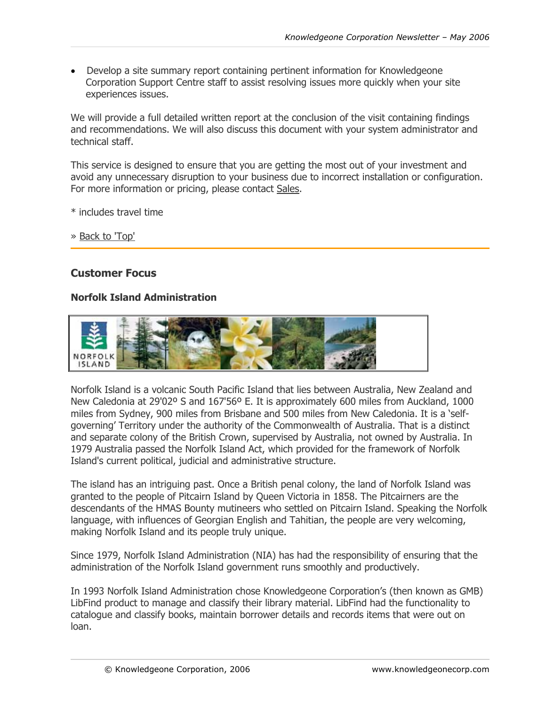<span id="page-5-0"></span>• Develop a site summary report containing pertinent information for Knowledgeone Corporation Support Centre staff to assist resolving issues more quickly when your site experiences issues.

We will provide a full detailed written report at the conclusion of the visit containing findings and recommendations. We will also discuss this document with your system administrator and technical staff.

This service is designed to ensure that you are getting the most out of your investment and avoid any unnecessary disruption to your business due to incorrect installation or configuration. For more information or pricing, please contact [Sales.](http://www.knowledgeonecorp.com/contactus/emailus.htm department)

\* includes travel time

» [Back to 'Top'](#page-0-1)

## **Customer Focus**

### **Norfolk Island Administration**



Norfolk Island is a volcanic South Pacific Island that lies between Australia, New Zealand and New Caledonia at 29'02º S and 167'56º E. It is approximately 600 miles from Auckland, 1000 miles from Sydney, 900 miles from Brisbane and 500 miles from New Caledonia. It is a 'selfgoverning' Territory under the authority of the Commonwealth of Australia. That is a distinct and separate colony of the British Crown, supervised by Australia, not owned by Australia. In 1979 Australia passed the Norfolk Island Act, which provided for the framework of Norfolk Island's current political, judicial and administrative structure.

The island has an intriguing past. Once a British penal colony, the land of Norfolk Island was granted to the people of Pitcairn Island by Queen Victoria in 1858. The Pitcairners are the descendants of the HMAS Bounty mutineers who settled on Pitcairn Island. Speaking the Norfolk language, with influences of Georgian English and Tahitian, the people are very welcoming, making Norfolk Island and its people truly unique.

Since 1979, Norfolk Island Administration (NIA) has had the responsibility of ensuring that the administration of the Norfolk Island government runs smoothly and productively.

In 1993 Norfolk Island Administration chose Knowledgeone Corporation's (then known as GMB) LibFind product to manage and classify their library material. LibFind had the functionality to catalogue and classify books, maintain borrower details and records items that were out on loan.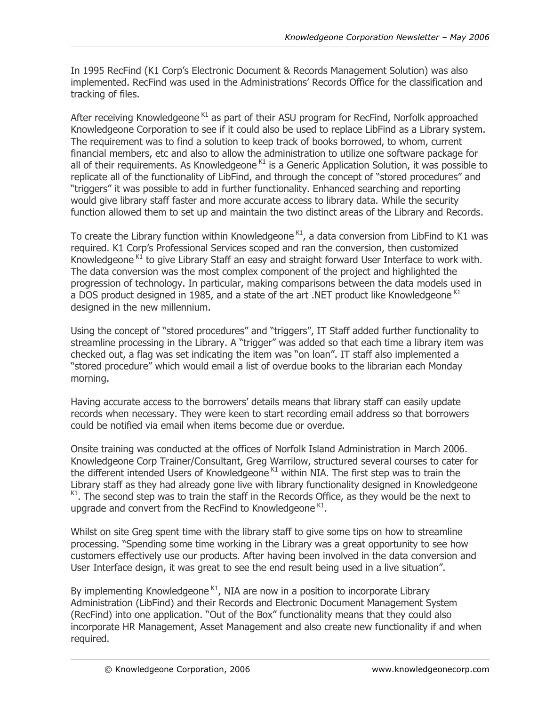In 1995 RecFind (K1 Corp's Electronic Document & Records Management Solution) was also implemented. RecFind was used in the Administrations' Records Office for the classification and tracking of files.

After receiving Knowledgeone  $K1$  as part of their ASU program for RecFind, Norfolk approached Knowledgeone Corporation to see if it could also be used to replace LibFind as a Library system. The requirement was to find a solution to keep track of books borrowed, to whom, current financial members, etc and also to allow the administration to utilize one software package for all of their requirements. As Knowledgeone  $K1$  is a Generic Application Solution, it was possible to replicate all of the functionality of LibFind, and through the concept of "stored procedures" and "triggers" it was possible to add in further functionality. Enhanced searching and reporting would give library staff faster and more accurate access to library data. While the security function allowed them to set up and maintain the two distinct areas of the Library and Records.

To create the Library function within Knowledgeone  $K1$ , a data conversion from LibFind to K1 was required. K1 Corp's Professional Services scoped and ran the conversion, then customized Knowledgeone <sup>K1</sup> to give Library Staff an easy and straight forward User Interface to work with. The data conversion was the most complex component of the project and highlighted the progression of technology. In particular, making comparisons between the data models used in a DOS product designed in 1985, and a state of the art .NET product like Knowledgeone<sup>K1</sup> designed in the new millennium.

Using the concept of "stored procedures" and "triggers", IT Staff added further functionality to streamline processing in the Library. A "trigger" was added so that each time a library item was checked out, a flag was set indicating the item was "on loan". IT staff also implemented a "stored procedure" which would email a list of overdue books to the librarian each Monday morning.

Having accurate access to the borrowers' details means that library staff can easily update records when necessary. They were keen to start recording email address so that borrowers could be notified via email when items become due or overdue.

Onsite training was conducted at the offices of Norfolk Island Administration in March 2006. Knowledgeone Corp Trainer/Consultant, Greg Warrilow, structured several courses to cater for the different intended Users of Knowledgeone  $K1$  within NIA. The first step was to train the Library staff as they had already gone live with library functionality designed in Knowledgeone  $K1$ . The second step was to train the staff in the Records Office, as they would be the next to upgrade and convert from the RecFind to Knowledgeone  $K1$ .

Whilst on site Greg spent time with the library staff to give some tips on how to streamline processing. "Spending some time working in the Library was a great opportunity to see how customers effectively use our products. After having been involved in the data conversion and User Interface design, it was great to see the end result being used in a live situation".

By implementing Knowledgeone  $K1$ , NIA are now in a position to incorporate Library Administration (LibFind) and their Records and Electronic Document Management System (RecFind) into one application. "Out of the Box" functionality means that they could also incorporate HR Management, Asset Management and also create new functionality if and when required.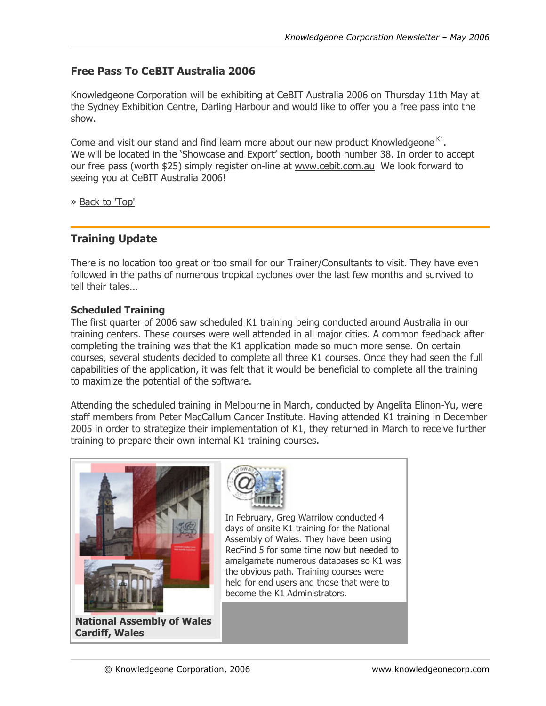## <span id="page-7-0"></span>**Free Pass To CeBIT Australia 2006**

Knowledgeone Corporation will be exhibiting at CeBIT Australia 2006 on Thursday 11th May at the Sydney Exhibition Centre, Darling Harbour and would like to offer you a free pass into the show.

Come and visit our stand and find learn more about our new product Knowledgeone K1. We will be located in the 'Showcase and Export' section, booth number 38. In order to accept our free pass (worth \$25) simply register on-line at [www.cebit.com.au](http://www.cebit.com.au/) We look forward to seeing you at CeBIT Australia 2006!

[» Back to 'Top'](#page-0-1)

## **Training Update**

There is no location too great or too small for our Trainer/Consultants to visit. They have even followed in the paths of numerous tropical cyclones over the last few months and survived to tell their tales...

#### **Scheduled Training**

The first quarter of 2006 saw scheduled K1 training being conducted around Australia in our training centers. These courses were well attended in all major cities. A common feedback after completing the training was that the K1 application made so much more sense. On certain courses, several students decided to complete all three K1 courses. Once they had seen the full capabilities of the application, it was felt that it would be beneficial to complete all the training to maximize the potential of the software.

Attending the scheduled training in Melbourne in March, conducted by Angelita Elinon-Yu, were staff members from Peter MacCallum Cancer Institute. Having attended K1 training in December 2005 in order to strategize their implementation of K1, they returned in March to receive further training to prepare their own internal K1 training courses.

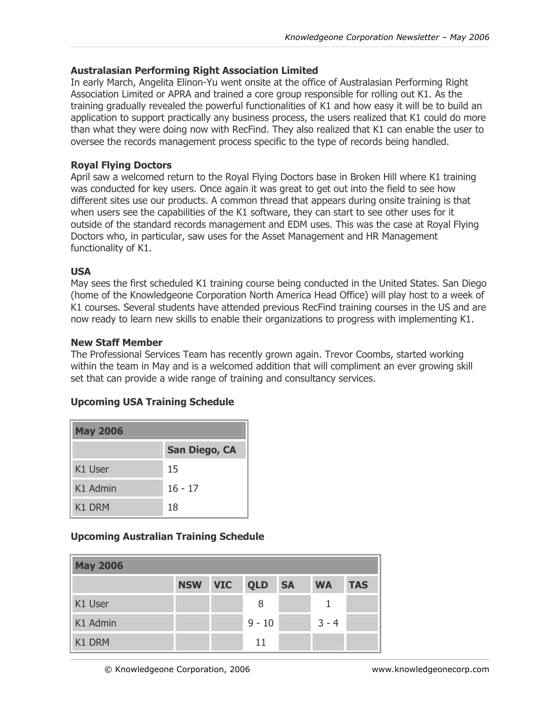### **Australasian Performing Right Association Limited**

In early March, Angelita Elinon-Yu went onsite at the office of Australasian Performing Right Association Limited or APRA and trained a core group responsible for rolling out K1. As the training gradually revealed the powerful functionalities of K1 and how easy it will be to build an application to support practically any business process, the users realized that K1 could do more than what they were doing now with RecFind. They also realized that K1 can enable the user to oversee the records management process specific to the type of records being handled.

#### **Royal Flying Doctors**

April saw a welcomed return to the Royal Flying Doctors base in Broken Hill where K1 training was conducted for key users. Once again it was great to get out into the field to see how different sites use our products. A common thread that appears during onsite training is that when users see the capabilities of the K1 software, they can start to see other uses for it outside of the standard records management and EDM uses. This was the case at Royal Flying Doctors who, in particular, saw uses for the Asset Management and HR Management functionality of K1.

#### **USA**

May sees the first scheduled K1 training course being conducted in the United States. San Diego (home of the Knowledgeone Corporation North America Head Office) will play host to a week of K1 courses. Several students have attended previous RecFind training courses in the US and are now ready to learn new skills to enable their organizations to progress with implementing K1.

#### **New Staff Member**

The Professional Services Team has recently grown again. Trevor Coombs, started working within the team in May and is a welcomed addition that will compliment an ever growing skill set that can provide a wide range of training and consultancy services.

#### **Upcoming USA Training Schedule**

| <b>May 2006</b>    |                      |  |  |  |  |
|--------------------|----------------------|--|--|--|--|
|                    | <b>San Diego, CA</b> |  |  |  |  |
| K1 User            | 15                   |  |  |  |  |
| K1 Admin           | $16 - 17$            |  |  |  |  |
| K <sub>1</sub> DRM | 18                   |  |  |  |  |

### **Upcoming Australian Training Schedule**

| <b>May 2006</b> |            |            |            |           |           |            |  |
|-----------------|------------|------------|------------|-----------|-----------|------------|--|
|                 | <b>NSW</b> | <b>VIC</b> | <b>QLD</b> | <b>SA</b> | <b>WA</b> | <b>TAS</b> |  |
| K1 User         |            |            | 8          |           |           |            |  |
| K1 Admin        |            |            | $9 - 10$   |           | $3 - 4$   |            |  |
| K1 DRM          |            |            | 11         |           |           |            |  |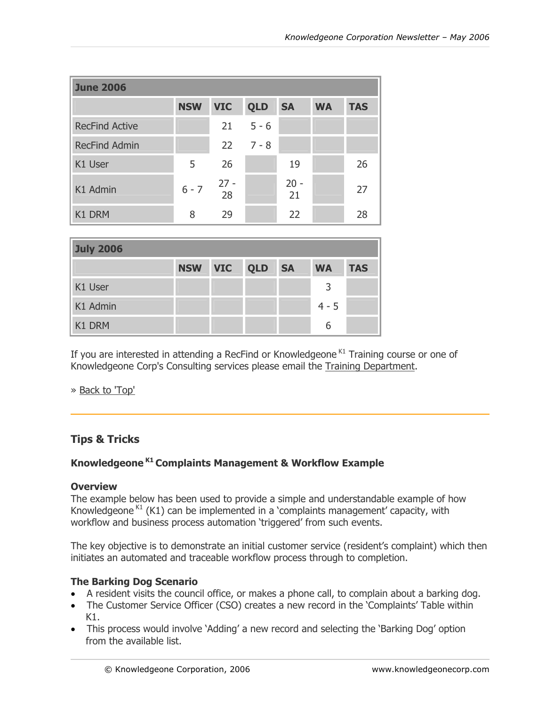<span id="page-9-0"></span>

| <b>June 2006</b>      |            |            |               |              |           |            |
|-----------------------|------------|------------|---------------|--------------|-----------|------------|
|                       | <b>NSW</b> | <b>VIC</b> | <b>QLD</b>    | <b>SA</b>    | <b>WA</b> | <b>TAS</b> |
| <b>RecFind Active</b> |            | 21         | $5 - 6$       |              |           |            |
| <b>RecFind Admin</b>  |            |            | $22 \t 7 - 8$ |              |           |            |
| K1 User               | 5          | 26         |               | 19           |           | 26         |
| K1 Admin              | $6 - 7$    | $27 - 28$  |               | $20 -$<br>21 |           | 27         |
| K1 DRM                | 8          | 29         |               | 22           |           | 28         |

| <b>July 2006</b> |            |            |            |           |           |            |
|------------------|------------|------------|------------|-----------|-----------|------------|
|                  | <b>NSW</b> | <b>VIC</b> | <b>QLD</b> | <b>SA</b> | <b>WA</b> | <b>TAS</b> |
| K1 User          |            |            |            |           | 3         |            |
| K1 Admin         |            |            |            |           | $4 - 5$   |            |
| K1 DRM           |            |            |            |           | 6         |            |

If you are interested in attending a RecFind or Knowledgeone  $K1$  Training course or one of Knowledgeone Corp's Consulting services please email the [Training](http://www.knowledgeonecorp.com/contactus/emailus.htm?Training) [Department](http://www.knowledgeonecorp.com/contactus/emailus.htm?Training).

» [Back to 'Top'](#page-0-0)

## **Tips & Tricks**

## **Knowledgeone K1 Complaints Management & Workflow Example**

#### **Overview**

The example below has been used to provide a simple and understandable example of how Knowledgeone<sup> $K1$ </sup> (K1) can be implemented in a 'complaints management' capacity, with workflow and business process automation 'triggered' from such events.

The key objective is to demonstrate an initial customer service (resident's complaint) which then initiates an automated and traceable workflow process through to completion.

### **The Barking Dog Scenario**

- A resident visits the council office, or makes a phone call, to complain about a barking dog.
- The Customer Service Officer (CSO) creates a new record in the 'Complaints' Table within K1.
- This process would involve 'Adding' a new record and selecting the 'Barking Dog' option from the available list.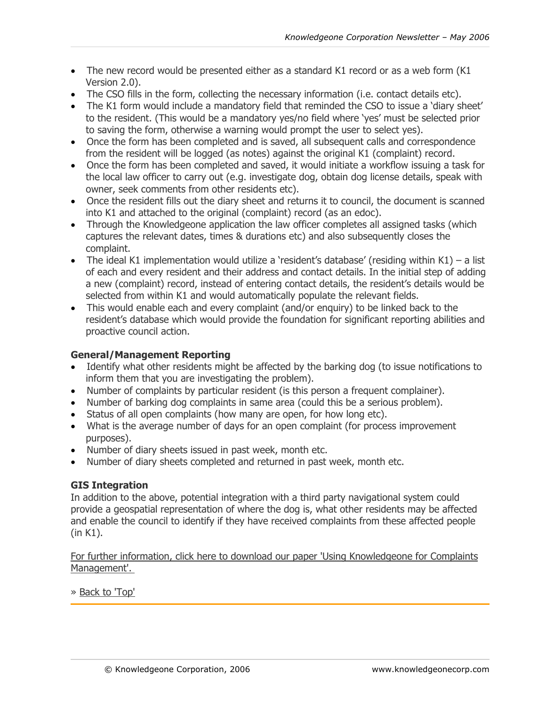- The new record would be presented either as a standard K1 record or as a web form (K1 Version 2.0).
- The CSO fills in the form, collecting the necessary information (i.e. contact details etc).
- The K1 form would include a mandatory field that reminded the CSO to issue a 'diary sheet' to the resident. (This would be a mandatory yes/no field where 'yes' must be selected prior to saving the form, otherwise a warning would prompt the user to select yes).
- Once the form has been completed and is saved, all subsequent calls and correspondence from the resident will be logged (as notes) against the original K1 (complaint) record.
- Once the form has been completed and saved, it would initiate a workflow issuing a task for the local law officer to carry out (e.g. investigate dog, obtain dog license details, speak with owner, seek comments from other residents etc).
- Once the resident fills out the diary sheet and returns it to council, the document is scanned into K1 and attached to the original (complaint) record (as an edoc).
- Through the Knowledgeone application the law officer completes all assigned tasks (which captures the relevant dates, times & durations etc) and also subsequently closes the complaint.
- The ideal K1 implementation would utilize a 'resident's database' (residing within K1) a list of each and every resident and their address and contact details. In the initial step of adding a new (complaint) record, instead of entering contact details, the resident's details would be selected from within K1 and would automatically populate the relevant fields.
- This would enable each and every complaint (and/or enquiry) to be linked back to the resident's database which would provide the foundation for significant reporting abilities and proactive council action.

## **General/Management Reporting**

- Identify what other residents might be affected by the barking dog (to issue notifications to inform them that you are investigating the problem).
- Number of complaints by particular resident (is this person a frequent complainer).
- Number of barking dog complaints in same area (could this be a serious problem).
- Status of all open complaints (how many are open, for how long etc).
- What is the average number of days for an open complaint (for process improvement purposes).
- Number of diary sheets issued in past week, month etc.
- Number of diary sheets completed and returned in past week, month etc.

### **GIS Integration**

In addition to the above, potential integration with a third party navigational system could provide a geospatial representation of where the dog is, what other residents may be affected and enable the council to identify if they have received complaints from these affected people (in K1).

[For further information, click here to download our paper 'Using Knowledgeone for Complaints](http://www.knowledgeonecorp.com/support/faq/pdfs/Using Knowledgeone for Complaints Mmgt.pdf)  [Management'.](http://www.knowledgeonecorp.com/support/faq/pdfs/Using Knowledgeone for Complaints Mmgt.pdf) 

» Back to 'Top'